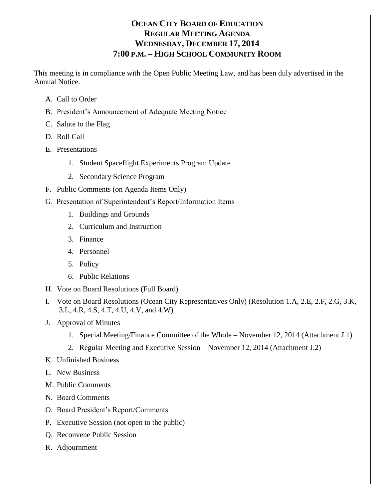# **OCEAN CITY BOARD OF EDUCATION REGULAR MEETING AGENDA WEDNESDAY, DECEMBER 17, 2014 7:00 P.M. – HIGH SCHOOL COMMUNITY ROOM**

This meeting is in compliance with the Open Public Meeting Law, and has been duly advertised in the Annual Notice.

- A. Call to Order
- B. President's Announcement of Adequate Meeting Notice
- C. Salute to the Flag
- D. Roll Call
- E. Presentations
	- 1. Student Spaceflight Experiments Program Update
	- 2. Secondary Science Program
- F. Public Comments (on Agenda Items Only)
- G. Presentation of Superintendent's Report/Information Items
	- 1. Buildings and Grounds
	- 2. Curriculum and Instruction
	- 3. Finance
	- 4. Personnel
	- 5. Policy
	- 6. Public Relations
- H. Vote on Board Resolutions (Full Board)
- I. Vote on Board Resolutions (Ocean City Representatives Only) (Resolution 1.A, 2.E, 2.F, 2.G, 3.K, 3.L, 4.R, 4.S, 4.T, 4.U, 4.V, and 4.W)
- J. Approval of Minutes
	- 1. Special Meeting/Finance Committee of the Whole November 12, 2014 (Attachment J.1)
	- 2. Regular Meeting and Executive Session November 12, 2014 (Attachment J.2)
- K. Unfinished Business
- L. New Business
- M. Public Comments
- N. Board Comments
- O. Board President's Report/Comments
- P. Executive Session (not open to the public)
- Q. Reconvene Public Session
- R. Adjournment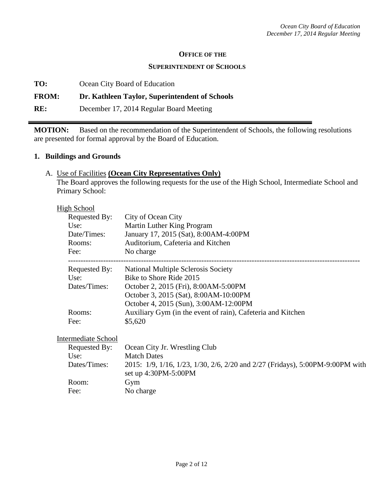#### **OFFICE OF THE**

#### **SUPERINTENDENT OF SCHOOLS**

**TO:** Ocean City Board of Education

## **FROM: Dr. Kathleen Taylor, Superintendent of Schools**

**RE:** December 17, 2014 Regular Board Meeting

**MOTION:** Based on the recommendation of the Superintendent of Schools, the following resolutions are presented for formal approval by the Board of Education.

#### **1. Buildings and Grounds**

#### A. Use of Facilities **(Ocean City Representatives Only)**

The Board approves the following requests for the use of the High School, Intermediate School and Primary School:

| High School         |                                                                               |  |  |
|---------------------|-------------------------------------------------------------------------------|--|--|
| Requested By:       | City of Ocean City                                                            |  |  |
| Use:                | Martin Luther King Program                                                    |  |  |
| Date/Times:         | January 17, 2015 (Sat), 8:00AM-4:00PM                                         |  |  |
| Rooms:              | Auditorium, Cafeteria and Kitchen                                             |  |  |
| Fee:                | No charge                                                                     |  |  |
| Requested By:       | National Multiple Sclerosis Society                                           |  |  |
| Use:                | Bike to Shore Ride 2015                                                       |  |  |
| Dates/Times:        | October 2, 2015 (Fri), 8:00AM-5:00PM                                          |  |  |
|                     | October 3, 2015 (Sat), 8:00AM-10:00PM                                         |  |  |
|                     | October 4, 2015 (Sun), 3:00AM-12:00PM                                         |  |  |
| Rooms:              | Auxiliary Gym (in the event of rain), Cafeteria and Kitchen                   |  |  |
| Fee:                | \$5,620                                                                       |  |  |
| Intermediate School |                                                                               |  |  |
| Requested By:       | Ocean City Jr. Wrestling Club                                                 |  |  |
| Use:                | <b>Match Dates</b>                                                            |  |  |
| Dates/Times:        | 2015: 1/9, 1/16, 1/23, 1/30, 2/6, 2/20 and 2/27 (Fridays), 5:00PM-9:00PM with |  |  |
|                     | set up 4:30PM-5:00PM                                                          |  |  |
| Room:               | Gym                                                                           |  |  |
| Fee:                | No charge                                                                     |  |  |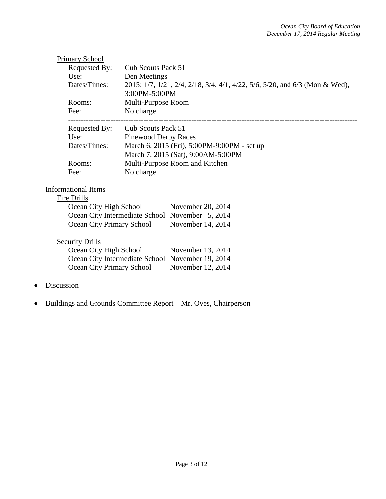|                           | <b>Primary School</b>      |                                                                                              |  |  |
|---------------------------|----------------------------|----------------------------------------------------------------------------------------------|--|--|
|                           | Requested By:              | Cub Scouts Pack 51                                                                           |  |  |
|                           | Use:                       | Den Meetings                                                                                 |  |  |
|                           | Dates/Times:               | 2015: 1/7, 1/21, 2/4, 2/18, 3/4, 4/1, 4/22, 5/6, 5/20, and 6/3 (Mon & Wed),<br>3:00PM-5:00PM |  |  |
|                           | Rooms:                     | Multi-Purpose Room                                                                           |  |  |
|                           | Fee:                       | No charge                                                                                    |  |  |
|                           | Requested By:              | Cub Scouts Pack 51                                                                           |  |  |
|                           | Use:                       | <b>Pinewood Derby Races</b><br>March 6, 2015 (Fri), 5:00PM-9:00PM - set up                   |  |  |
|                           | Dates/Times:               |                                                                                              |  |  |
|                           |                            | March 7, 2015 (Sat), 9:00AM-5:00PM                                                           |  |  |
|                           | Rooms:                     | Multi-Purpose Room and Kitchen                                                               |  |  |
|                           | Fee:                       | No charge                                                                                    |  |  |
|                           | <b>Informational Items</b> |                                                                                              |  |  |
|                           | Fire Drills                |                                                                                              |  |  |
|                           | Ocean City High School     | November 20, 2014                                                                            |  |  |
|                           |                            | Ocean City Intermediate School November 5, 2014                                              |  |  |
|                           | Ocean City Primary School  | November 14, 2014                                                                            |  |  |
|                           | <b>Security Drills</b>     |                                                                                              |  |  |
|                           | Ocean City High School     | November 13, 2014                                                                            |  |  |
|                           |                            | Ocean City Intermediate School November 19, 2014                                             |  |  |
| Ocean City Primary School |                            | November 12, 2014                                                                            |  |  |
|                           |                            |                                                                                              |  |  |
| Discussion                |                            |                                                                                              |  |  |

• Buildings and Grounds Committee Report – Mr. Oves, Chairperson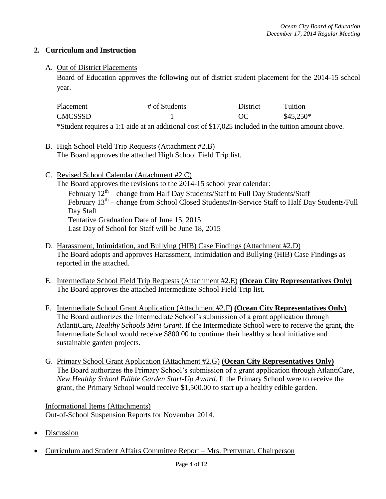## **2. Curriculum and Instruction**

#### A. Out of District Placements

Board of Education approves the following out of district student placement for the 2014-15 school year.

| Placement | # of Students                                                                                        | District | Tuition    |
|-----------|------------------------------------------------------------------------------------------------------|----------|------------|
| CMCSSSD   |                                                                                                      | $\alpha$ | $$45.250*$ |
|           | *Student requires a 1:1 aide at an additional cost of \$17,025 included in the tuition amount above. |          |            |

- B. High School Field Trip Requests (Attachment #2.B) The Board approves the attached High School Field Trip list.
- C. Revised School Calendar (Attachment #2.C) The Board approves the revisions to the 2014-15 school year calendar: February  $12^{\text{th}}$  – change from Half Day Students/Staff to Full Day Students/Staff February  $13<sup>th</sup>$  – change from School Closed Students/In-Service Staff to Half Day Students/Full Day Staff Tentative Graduation Date of June 15, 2015 Last Day of School for Staff will be June 18, 2015
- D. Harassment, Intimidation, and Bullying (HIB) Case Findings (Attachment #2.D) The Board adopts and approves Harassment, Intimidation and Bullying (HIB) Case Findings as reported in the attached.
- E. Intermediate School Field Trip Requests (Attachment #2.E) **(Ocean City Representatives Only)** The Board approves the attached Intermediate School Field Trip list.
- F. Intermediate School Grant Application (Attachment #2.F) **(Ocean City Representatives Only)** The Board authorizes the Intermediate School's submission of a grant application through AtlantiCare, *Healthy Schools Mini Grant*. If the Intermediate School were to receive the grant, the Intermediate School would receive \$800.00 to continue their healthy school initiative and sustainable garden projects.
- G. Primary School Grant Application (Attachment #2.G) **(Ocean City Representatives Only)** The Board authorizes the Primary School's submission of a grant application through AtlantiCare, *New Healthy School Edible Garden Start-Up Award*. If the Primary School were to receive the grant, the Primary School would receive \$1,500.00 to start up a healthy edible garden.

Informational Items (Attachments) Out-of-School Suspension Reports for November 2014.

- Discussion
- Curriculum and Student Affairs Committee Report Mrs. Prettyman, Chairperson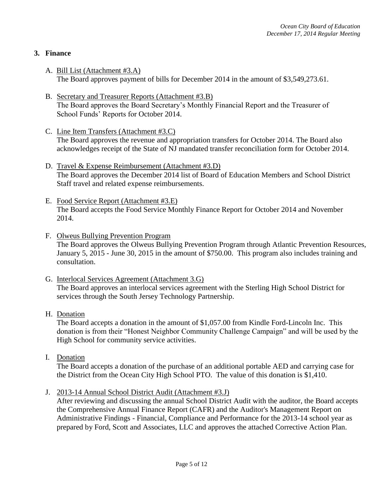## **3. Finance**

- A. Bill List (Attachment #3.A) The Board approves payment of bills for December 2014 in the amount of \$3,549,273.61.
- B. Secretary and Treasurer Reports (Attachment #3.B) The Board approves the Board Secretary's Monthly Financial Report and the Treasurer of School Funds' Reports for October 2014.
- C. Line Item Transfers (Attachment #3.C) The Board approves the revenue and appropriation transfers for October 2014. The Board also acknowledges receipt of the State of NJ mandated transfer reconciliation form for October 2014.
- D. Travel & Expense Reimbursement (Attachment #3.D) The Board approves the December 2014 list of Board of Education Members and School District Staff travel and related expense reimbursements.
- E. Food Service Report (Attachment #3.E) The Board accepts the Food Service Monthly Finance Report for October 2014 and November 2014.
- F. Olweus Bullying Prevention Program The Board approves the Olweus Bullying Prevention Program through Atlantic Prevention Resources, January 5, 2015 - June 30, 2015 in the amount of \$750.00. This program also includes training and consultation.
- G. Interlocal Services Agreement (Attachment 3.G) The Board approves an interlocal services agreement with the Sterling High School District for services through the South Jersey Technology Partnership.
- H. Donation

The Board accepts a donation in the amount of \$1,057.00 from Kindle Ford-Lincoln Inc. This donation is from their "Honest Neighbor Community Challenge Campaign" and will be used by the High School for community service activities.

I. Donation

The Board accepts a donation of the purchase of an additional portable AED and carrying case for the District from the Ocean City High School PTO. The value of this donation is \$1,410.

J. 2013-14 Annual School District Audit (Attachment #3.J)

After reviewing and discussing the annual School District Audit with the auditor, the Board accepts the Comprehensive Annual Finance Report (CAFR) and the Auditor's Management Report on Administrative Findings - Financial, Compliance and Performance for the 2013-14 school year as prepared by Ford, Scott and Associates, LLC and approves the attached Corrective Action Plan.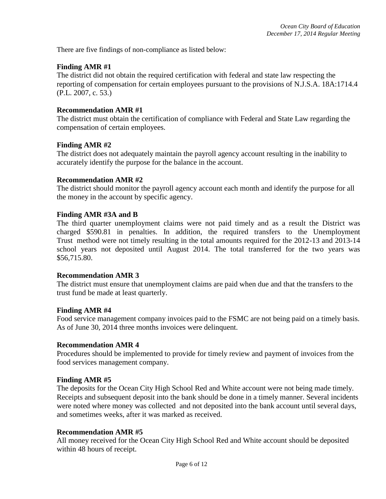There are five findings of non-compliance as listed below:

#### **Finding AMR #1**

The district did not obtain the required certification with federal and state law respecting the reporting of compensation for certain employees pursuant to the provisions of N.J.S.A. 18A:1714.4 (P.L. 2007, c. 53.)

#### **Recommendation AMR #1**

The district must obtain the certification of compliance with Federal and State Law regarding the compensation of certain employees.

#### **Finding AMR #2**

The district does not adequately maintain the payroll agency account resulting in the inability to accurately identify the purpose for the balance in the account.

#### **Recommendation AMR #2**

The district should monitor the payroll agency account each month and identify the purpose for all the money in the account by specific agency.

#### **Finding AMR #3A and B**

The third quarter unemployment claims were not paid timely and as a result the District was charged \$590.81 in penalties. In addition, the required transfers to the Unemployment Trust method were not timely resulting in the total amounts required for the 2012-13 and 2013-14 school years not deposited until August 2014. The total transferred for the two years was \$56,715.80.

#### **Recommendation AMR 3**

The district must ensure that unemployment claims are paid when due and that the transfers to the trust fund be made at least quarterly.

#### **Finding AMR #4**

 Food service management company invoices paid to the FSMC are not being paid on a timely basis. As of June 30, 2014 three months invoices were delinquent.

#### **Recommendation AMR 4**

Procedures should be implemented to provide for timely review and payment of invoices from the food services management company.

#### **Finding AMR #5**

The deposits for the Ocean City High School Red and White account were not being made timely. Receipts and subsequent deposit into the bank should be done in a timely manner. Several incidents were noted where money was collected and not deposited into the bank account until several days, and sometimes weeks, after it was marked as received.

#### **Recommendation AMR #5**

All money received for the Ocean City High School Red and White account should be deposited within 48 hours of receipt.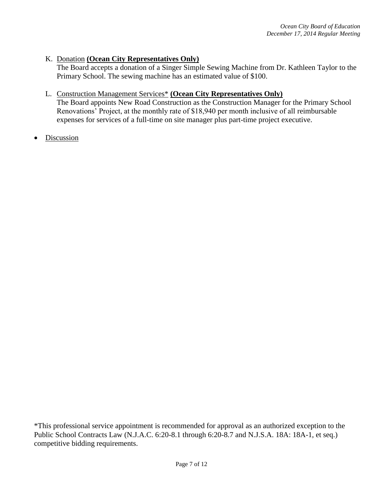## K. Donation **(Ocean City Representatives Only)**

The Board accepts a donation of a Singer Simple Sewing Machine from Dr. Kathleen Taylor to the Primary School. The sewing machine has an estimated value of \$100.

#### L. Construction Management Services\* **(Ocean City Representatives Only)**

The Board appoints New Road Construction as the Construction Manager for the Primary School Renovations' Project, at the monthly rate of \$18,940 per month inclusive of all reimbursable expenses for services of a full-time on site manager plus part-time project executive.

Discussion

\*This professional service appointment is recommended for approval as an authorized exception to the Public School Contracts Law (N.J.A.C. 6:20-8.1 through 6:20-8.7 and N.J.S.A. 18A: 18A-1, et seq.) competitive bidding requirements.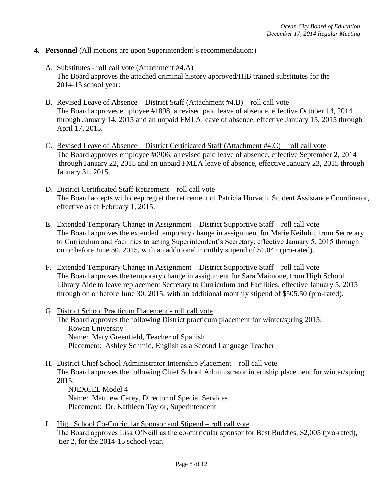- **4. Personnel** (All motions are upon Superintendent's recommendation:)
	- A. Substitutes roll call vote (Attachment #4.A) The Board approves the attached criminal history approved/HIB trained substitutes for the 2014-15 school year:
	- B. Revised Leave of Absence District Staff (Attachment #4.B) roll call vote The Board approves employee #1898, a revised paid leave of absence, effective October 14, 2014 through January 14, 2015 and an unpaid FMLA leave of absence, effective January 15, 2015 through April 17, 2015.
	- C. Revised Leave of Absence District Certificated Staff (Attachment #4.C) roll call vote The Board approves employee #0906, a revised paid leave of absence, effective September 2, 2014 through January 22, 2015 and an unpaid FMLA leave of absence, effective January 23, 2015 through January 31, 2015.
	- D. District Certificated Staff Retirement roll call vote The Board accepts with deep regret the retirement of Patricia Horvath, Student Assistance Coordinator, effective as of February 1, 2015.
	- E. Extended Temporary Change in Assignment District Supportive Staff roll call vote The Board approves the extended temporary change in assignment for Marie Keiluhn, from Secretary to Curriculum and Facilities to acting Superintendent's Secretary, effective January 5, 2015 through on or before June 30, 2015, with an additional monthly stipend of \$1,042 (pro-rated).
	- F. Extended Temporary Change in Assignment District Supportive Staff roll call vote The Board approves the temporary change in assignment for Sara Maimone, from High School Library Aide to leave replacement Secretary to Curriculum and Facilities, effective January 5, 2015 through on or before June 30, 2015, with an additional monthly stipend of \$505.50 (pro-rated).
	- G. District School Practicum Placement roll call vote The Board approves the following District practicum placement for winter/spring 2015: Rowan University Name: Mary Greenfield, Teacher of Spanish Placement: Ashley Schmid, English as a Second Language Teacher
	- H. District Chief School Administrator Internship Placement roll call vote The Board approves the following Chief School Administrator internship placement for winter/spring 2015:
		- NJEXCEL Model 4 Name: Matthew Carey, Director of Special Services Placement: Dr. Kathleen Taylor, Superintendent
	- I. High School Co-Curricular Sponsor and Stipend roll call vote The Board approves Lisa O'Neill as the co-curricular sponsor for Best Buddies, \$2,005 (pro-rated), tier 2, for the 2014-15 school year.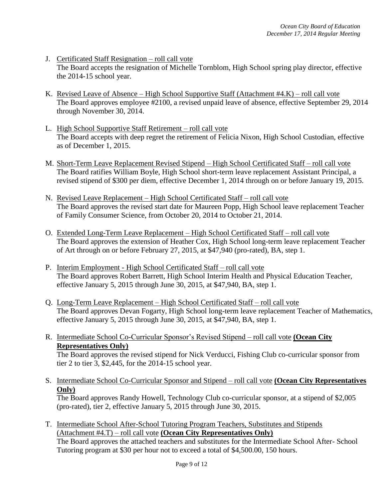- J. Certificated Staff Resignation roll call vote The Board accepts the resignation of Michelle Tornblom, High School spring play director, effective the 2014-15 school year.
- K. Revised Leave of Absence High School Supportive Staff (Attachment #4.K) roll call vote The Board approves employee #2100, a revised unpaid leave of absence, effective September 29, 2014 through November 30, 2014.
- L. High School Supportive Staff Retirement roll call vote The Board accepts with deep regret the retirement of Felicia Nixon, High School Custodian, effective as of December 1, 2015.
- M. Short-Term Leave Replacement Revised Stipend High School Certificated Staff roll call vote The Board ratifies William Boyle, High School short-term leave replacement Assistant Principal, a revised stipend of \$300 per diem, effective December 1, 2014 through on or before January 19, 2015.
- N. Revised Leave Replacement High School Certificated Staff roll call vote The Board approves the revised start date for Maureen Popp, High School leave replacement Teacher of Family Consumer Science, from October 20, 2014 to October 21, 2014.
- O. Extended Long-Term Leave Replacement High School Certificated Staff roll call vote The Board approves the extension of Heather Cox, High School long-term leave replacement Teacher of Art through on or before February 27, 2015, at \$47,940 (pro-rated), BA, step 1.
- P. Interim Employment High School Certificated Staff roll call vote The Board approves Robert Barrett, High School Interim Health and Physical Education Teacher, effective January 5, 2015 through June 30, 2015, at \$47,940, BA, step 1.
- Q. Long-Term Leave Replacement High School Certificated Staff roll call vote The Board approves Devan Fogarty, High School long-term leave replacement Teacher of Mathematics, effective January 5, 2015 through June 30, 2015, at \$47,940, BA, step 1.
- R. Intermediate School Co-Curricular Sponsor's Revised Stipend roll call vote **(Ocean City Representatives Only)**

The Board approves the revised stipend for Nick Verducci, Fishing Club co-curricular sponsor from tier 2 to tier 3, \$2,445, for the 2014-15 school year.

S. Intermediate School Co-Curricular Sponsor and Stipend – roll call vote **(Ocean City Representatives Only)**

The Board approves Randy Howell, Technology Club co-curricular sponsor, at a stipend of \$2,005 (pro-rated), tier 2, effective January 5, 2015 through June 30, 2015.

T. Intermediate School After-School Tutoring Program Teachers, Substitutes and Stipends (Attachment #4.T) – roll call vote **(Ocean City Representatives Only)** The Board approves the attached teachers and substitutes for the Intermediate School After- School Tutoring program at \$30 per hour not to exceed a total of \$4,500.00, 150 hours.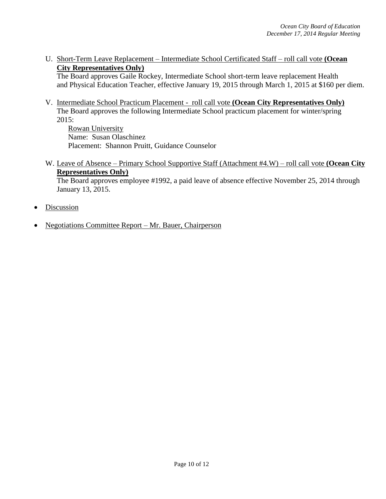U. Short-Term Leave Replacement – Intermediate School Certificated Staff – roll call vote **(Ocean City Representatives Only)**

The Board approves Gaile Rockey, Intermediate School short-term leave replacement Health and Physical Education Teacher, effective January 19, 2015 through March 1, 2015 at \$160 per diem.

V. Intermediate School Practicum Placement - roll call vote **(Ocean City Representatives Only)** The Board approves the following Intermediate School practicum placement for winter/spring 2015:

Rowan University Name: Susan Olaschinez Placement: Shannon Pruitt, Guidance Counselor

W. Leave of Absence – Primary School Supportive Staff (Attachment #4.W) – roll call vote **(Ocean City Representatives Only)**

The Board approves employee #1992, a paid leave of absence effective November 25, 2014 through January 13, 2015.

- **Discussion**
- Negotiations Committee Report Mr. Bauer, Chairperson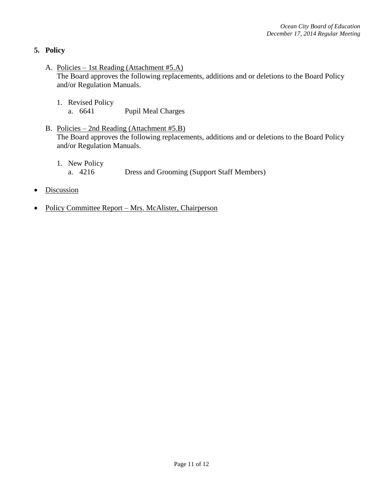## **5. Policy**

- A. Policies 1st Reading (Attachment #5.A) The Board approves the following replacements, additions and or deletions to the Board Policy and/or Regulation Manuals.
	- 1. Revised Policy a. 6641 Pupil Meal Charges
- B. Policies 2nd Reading (Attachment #5.B) The Board approves the following replacements, additions and or deletions to the Board Policy and/or Regulation Manuals.
	- 1. New Policy a. 4216 Dress and Grooming (Support Staff Members)
- **Discussion**
- Policy Committee Report Mrs. McAlister, Chairperson